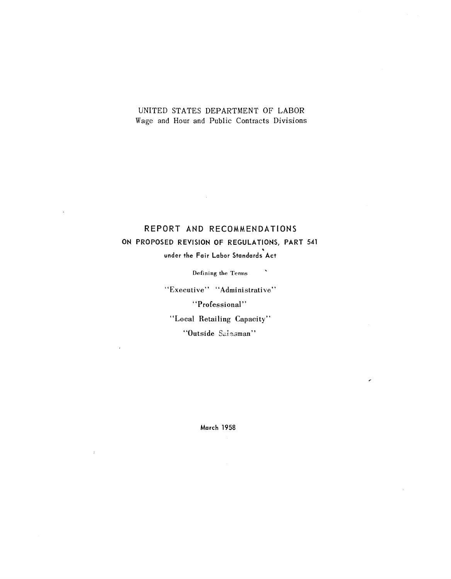## UNITED STATES DEPARTMENT OF LABOR Wage and Hour and Public Contracts Divisions

# REPORT AND RECOMMENDATIONS ON PROPOSED REVISION OF REGULATIONS, PART 541

 $\sim 10^{-1}$ 

under the Fair Labor Standards Act

Defining the Terms

"Executive" "Administrative"

"Professional"

"Local Retailing Capacity"

"Outside Salesman"

March 1958

 $\bar{Y}$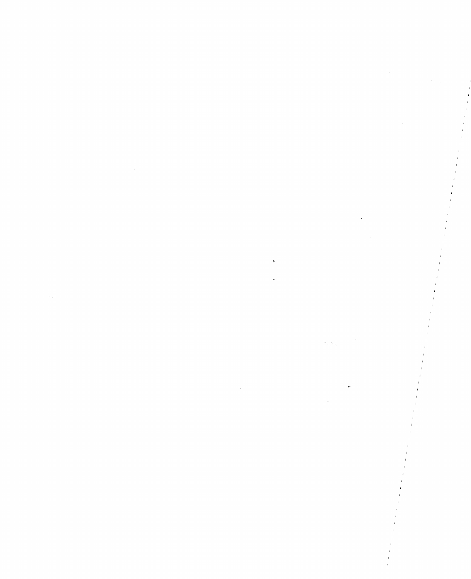$\label{eq:2.1} \frac{1}{\sqrt{2}}\left(\frac{1}{\sqrt{2}}\right)^{2} \left(\frac{1}{\sqrt{2}}\right)^{2} \left(\frac{1}{\sqrt{2}}\right)^{2} \left(\frac{1}{\sqrt{2}}\right)^{2} \left(\frac{1}{\sqrt{2}}\right)^{2} \left(\frac{1}{\sqrt{2}}\right)^{2} \left(\frac{1}{\sqrt{2}}\right)^{2} \left(\frac{1}{\sqrt{2}}\right)^{2} \left(\frac{1}{\sqrt{2}}\right)^{2} \left(\frac{1}{\sqrt{2}}\right)^{2} \left(\frac{1}{\sqrt{2}}\right)^{2} \left(\$  $\mathcal{L}_{\text{max}}$  and  $\mathcal{L}_{\text{max}}$  . We can also  $\label{eq:2.1} \frac{1}{\sqrt{2\pi}}\int_{\mathbb{R}^3}\frac{1}{\sqrt{2\pi}}\left(\frac{1}{\sqrt{2\pi}}\right)^2\frac{1}{\sqrt{2\pi}}\int_{\mathbb{R}^3}\frac{1}{\sqrt{2\pi}}\left(\frac{1}{\sqrt{2\pi}}\right)^2\frac{1}{\sqrt{2\pi}}\frac{1}{\sqrt{2\pi}}\int_{\mathbb{R}^3}\frac{1}{\sqrt{2\pi}}\frac{1}{\sqrt{2\pi}}\frac{1}{\sqrt{2\pi}}\frac{1}{\sqrt{2\pi}}\frac{1}{\sqrt{2\pi}}\frac{1}{\sqrt{2\$  $\overline{a}$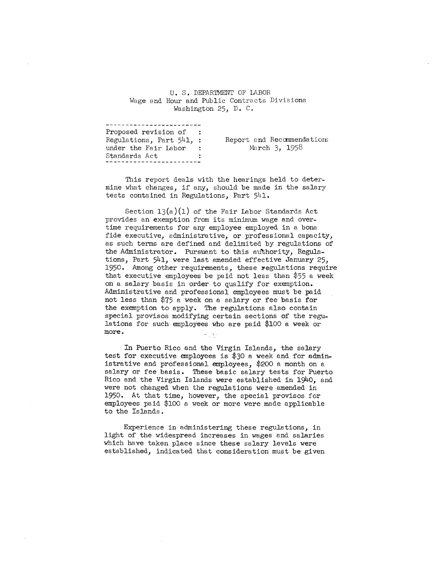## U. S. DEPARTMENT OF LABOR Hage and Hour and Public Contracts Divisions Washington 25, D. C.

-------------------------Proposed revision of Regulations, Part 541, Report and Recommendations March 3, 1958 under the Fair Labor : Standards Act

This report deals with the hearings held to determine what changes, if any, should be made in the salary tests contained in Regulations, Part 541.

Section  $13(a)(1)$  of the Fair Labor Standards Act provides an exemption from its minimum wage and overtime requirements for any employee employed in a bona fide executive, administrative, or professional capacity, as such terms are defined and delimited by regulations of the Administrator. Pursuant to this au'thority, Regulations, Part 541, were last amended effective January 25, 1950. Among other requirements, these regulations require that executive employees be paid not less than \$55 a week on a salary basis in order to qualify for exemption. Administrative and professional employees must be paid not less than \$75 a week on a salary or fee basis for the exemption to apply. The regulations also contain special provisos modifying certain sections of the regulations for such employees who are paid \$100 a week or more.  $\sim$  1%.

In Puerto Rico and the Virgin Islands, the salary test for executive employees is \$30 a week and for administrative and professional employees, \$200 a month on a salary or fee basis. These basic salary tests for Puerto Rico and the Virgin Islands were established in 1940, and were not changed when the regulations were amended in 1950. At that time, however, the special provisos for employees paid \$100 a week or more were made applicable to the Islands.

Experience in administering these regulations, in light of the widespread increases in wages and salaries which have taken place since these salary levels were established, indicated that consideration must be given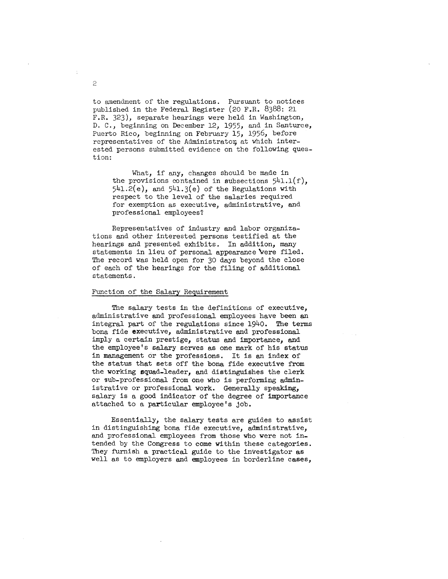to amendment of the regulations. Pursuant to notices published in the Federal Register (20 **F.R.** 8388: 21 **F.R.** 323), separate hearings were held in Washington, D. C., beginning on December 12, 1955, and in Santurce, Puerto Rico, beginning on February 15, 1956, before representatives of the Administrator, at which interested persons submitted evidence on the following question:

What, if any, changes should be made in the provisions contained in subsections  $541.1(f)$ ,  $541.2(e)$ , and  $541.3(e)$  of the Regulations with respect to the level of the salaries required for exemption as executive, administrative, and professional employees?

Representatives of industry and labor organizations and other interested persons testified at the hearings and presented exhibits. In addition, many statements in lieu of personal appearance were filed. The record was held open for 30 days beyond the close of each of the hearings for the filing of additional statements.

#### Function of the Salary Requirement

The salary tests in the definitions of executive, administrative and professional employees have been an integral part of the regulations since 1940. The terms bona fide executive, administrative and professional imply a certain prestige, status and importance, and the employee's salary serves as one mark of his status in management or the professions. It is an index of the status that sets off the bona fide executive from the working squad-leader, and distinguishes the clerk or sub-professional from one who is performing administrative or professional work. Generally speaking, salary is a good indicator of the degree of importance attached to a particular employee's job.

Essentially, the salary tests are guides to assist in distinguishing bona fide executive, administrative, and professional employees from those who were not **in**tended by the Congress to come within these categories. They furnish a practical guide to the investigator as well as to employers and employees in borderline cases,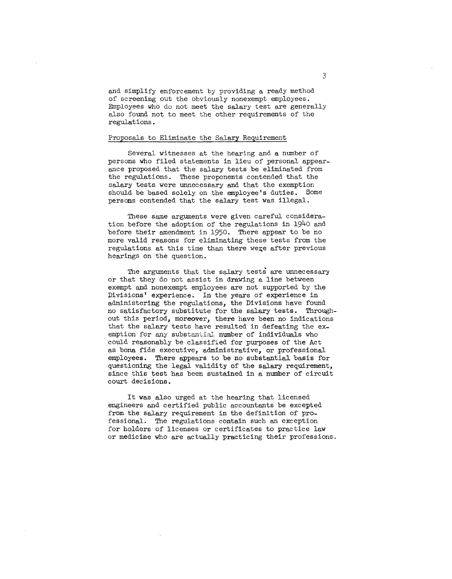and simplify enforcement by providing a ready method of screening out the obviously nonexempt employees. Employees who do not meet the salary test are generally also found not to meet the other requirements of the regulations.

## Proposals to Eliminate the Salary Requirement

Several witnesses at the hearing and a number of persons who filed statements in lieu of personal appearance proposed that the salary tests be eliminated from the regulations. These proponents contended that the salary tests were unnecessary and that the exemption should be based solely on the employee's duties. Some persons contended that the salary test WaS illegal.

These same arguments were given careful consideration before the adoption of the regulations in 1940 and before their amendment in 1950. There appear to be no more valid reasons for eliminating these tests from the regulations at this time than there were after previous hearings on the question.

The arguments that the salary tests are unnecessary or that they do not assist in drawing a line between exempt and nonexempt employees are not supported by the Divisions' experience. In the years of experience in administering the regulations, the Divisions have found no satisfactory substitute for the salary tests. Throughout this period, moreover, there have been no indications that the salary tests have resulted in defeating the exemption for any substantial number of individuals who could reasonably be classified for purposes of the Act as bona fide executive, administrative, or professional employees. There appears to be no substantial basis for questioning the legal validity of the salary requirement, since this test has been sustained in a number of circuit court decisions.

It was also urged at the hearing that licensed engineers and certified public accountants be excepted from the salary requirement in the definition of professional. The regulations contain such an exception for holders of licenses or certificates to practice law or medicine who are actually practicing their professions.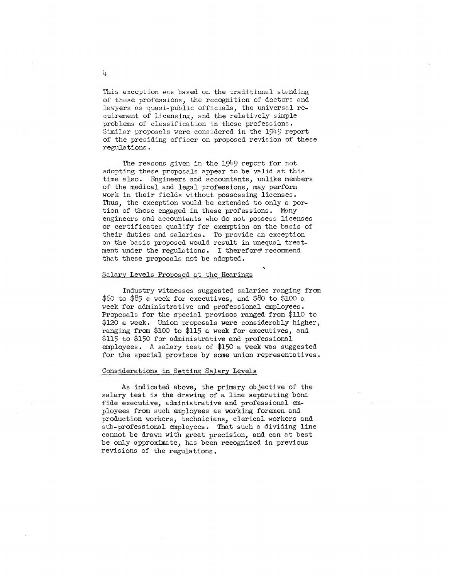This exception was based on the traditional standing of these professions, the recognition of doctors and lawyers as quasi-public officials, the universal requirement of licensing, and the relatively simple problems of classification in these professions. Similar proposals were considered in the 1949 report of the presiding officer on proposed revision of these regulations.

The reasons given in the 1949 report for not adopting these proposals appear to be valid at this time also. Engineers and accountants, unlike members of the medical and legal professions, may perform work in their fields without possessing licenses. Thus, the exception would be extended to only a portion of those engaged in these professions. Many engineers and accountants who do not possess licenses or certificates qualify for exemption on the basis of their duties and salaries. To provide an exception on the basis proposed would result in unequal treatment under the regulations. I therefore recommend that these proposals not be adopted.

#### Salary Levels Proposed at the Hearings

Industry witnesses suggested salaries ranging fran \$60 to \$85 a week for executives, and \$80 to \$100 a week for administrative and professional employees. Proposals for the special provisos ranged from \$110 to \$120 a week. Union proposals were considerably higher, ranging from \$100 to \$115 a week for executives, and \$115 to \$150 for administrative and professional employees. A salary test of \$150 a week was suggested for the special provisos by sane union representatives.

#### Considerations in Setting Salary Levels

As indicated above, the primary objective of the salary test is the drawing of a line separating bona fide executive, administrative and professional employees from such employees as working foremen and production workers, technicians, clerical workers and sub-professional employees. That such a dividing line cannot be drawn with great precision, and can at best be only approximate, has been recognized in previous revisions of the regulations.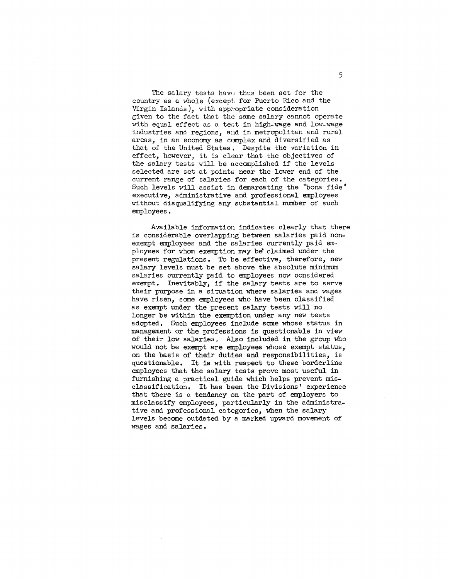The salary tests have thus been set for the country as a whole (except for Puerto Rico and the Virgin Islands), with appropriate consideration given to the fact that the same salary cannot operate with equal effect as a test in high-wage and low-wage industries and regions, and in metropolitan and rural areas, in an economy as ccnnplex and diversified as that of the United States. Despite the variation in effect, however, it is clear that the objectives of the salary tests will be accomplished if the levels selected are set at points near the lower end of the current range of salaries for each of the categories. Such levels will assist in demarcating the "bona fide" executive, administrative and professional employees without disqualifying any substantial number of such employees.

Available information indicates clearly that there is considerable overlapping between salaries paid nonexempt employees and the salaries currently paid employees for whom exemption may be" claimed under the present regulations. To be effective, therefore, new salary levels must be set above the absolute minimum salaries currently paid to employees now considered exempt. Inevitably, if the salary tests are to serve their purpose in a situation where salaries and wages have risen, some employees who have been classified as exempt under the present salary tests will no longer be within the exemption under any new tests adopted. Such employees include some whose status in management or the professions is questionable in view of their low salarieo, Also included in the group who would not be exempt are employees whose exempt status, on the basis of their duties and responsibilities, is questionable. It is with respect to these borderline employees that the salary tests prove most useful in furnishing a practical guide which helps prevent misclassification. It has been the Divisions' experience that there is a tendency on the part of employers to misclassify employees, particularly in the administrative and professional categories, when the salary levels become outdated by a marked upward movement of wages and salaries.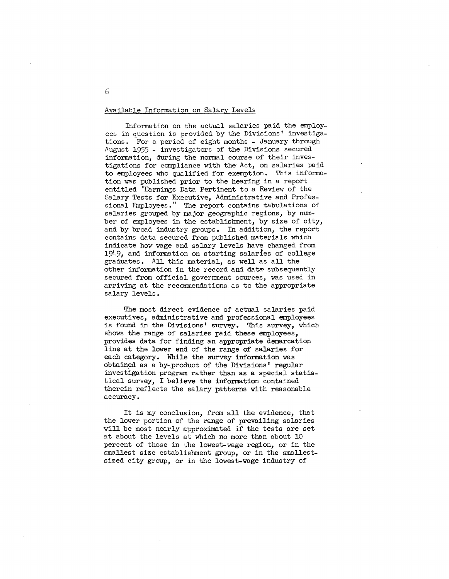#### Available Information on Salary Levels

Information on the actual salaries paid the employees in question is provided by the Divisions' investigations. For a period of eight months - January through August 1955 - investigators of the Divisions secured information, during the normal course of their investigations for compliance with the Act, on salaries paid to employees who qualified for exemption. This information was published prior to the hearing in a report entitled "Earnings Data Pertinent to a Review of the Salary Tests for Executive, Administrative and Professional Employees." The report contains tabulations of salaries grouped by major geographic regions, by number of employees in the establishment, by size of city, and by broad industry groups. In addition, the report contains data secured from published materials which indicate how wage and salary levels have changed from 1949, and information on starting salarIes of college graduates. All this material, as well as all the other information in the record and data subsequently secured from official government sources, was used in arriving at the recommendations as to the appropriate salary levels.

The most direct evidence of actual salaries paid executives, administrative and professional employees is found in the Divisions' survey. This survey, which shows the range of salaries paid these employees, provides data for finding an appropriate demarcation line at the lower end of the range of salaries for each category. While the survey information was obtained as a by-product of the Divisions' regular investigation program rather than as a special statistical survey, I believe the information contained therein reflects the salary patterns with reasonable accuracy.

It is my conclusion, from all the evidence, that the lower portion of the range of prevailing salaries will be most nearly approximated if the tests are set at about the levels at which no more than about 10 percent of those in the lowest-wage region, or in the smallest size establishment group, or in the smallestsized city group, or in the lowest-wage industry of

6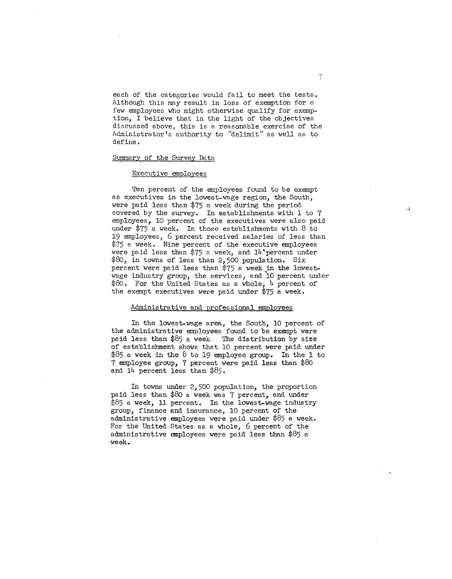each of the categories would fail to meet the tests. Although this may result in loss of exemption for a few employees who might otherwise qualify for exemption, I believe that in the light of the objectives discussed above, this is a reasonable exercise of the Administrator's authority to "delimit" as well as to define.

## Summary of the Survey Data

#### Executive employees

Ten percent of the employees found to be exempt as executives in the lowest-wage region, the South, were paid less than \$75 a week during the period covered by the survey. In establishments with 1 to 7 employees, 10 percent of the executives were also paid under  $$75$  a week. In those establishments with 8 to 19 employees, 6 percent received salaries of less than \$75 a week. Nine percent of the executive employees were paid less than \$75 a week, and 14'percent under \$80, in towns of less than 2,500 population. Six percent were paid less than \$75 a week in the lowestwage industry group, the services, and 10 percent under  $$80.$  For the United States as a whole, 4 percent of the exempt executives were paid under \$75 a week.

#### Administrative and professional employees

In the lowest-wage area, the South, 10 percent of the administrative employees found to be exempt were paid less than  $$85$  a week. The distribution by size of establishment shows that 10 percent were paid under \$85 a week in the 8 to 19 employee group. In the 1 to 7 employee group, 7 percent were paid less than \$80 and 14 percent less than \$85.

In towns under 2,500 population, the proportion paid less than \$80 a week was 7 percent, and under \$85 a week, 11 percent. In the lowest-wage industry group, finance and insurance, 10 percent of the administrative employees were paid under \$85 a week. For the United States as a whole, 6 percent of the administrative employees were paid less than \$85 a week.

 $\mathbf{L}$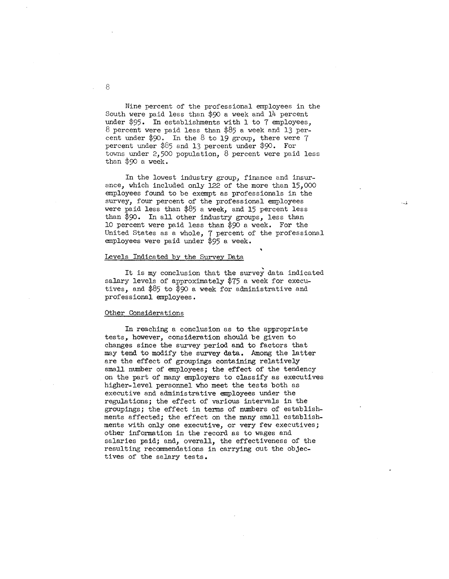Nine percent of the professional employees in the South were paid less than \$90 a week and 14 percent under \$95. In establishments with 1 to 7 employees, 8 percent were paid less than \$85 a week and 13 percent under \$90. In the 8 to 19 group, there were 7 percent under \$85 and 13 percent under \$90. For towns under 2,500 population, 8 percent were paid less than \$90 a week.

In the lowest industry group, finance and insurance, which included only 122 of the more than 15,000 employees found to be exempt as professionals in the survey, four percent of the professional employees were paid less than \$85 a week, and 15 percent less than \$90. In all other industry groups, less than 10 percent were paid less than \$90 a week. For the United States as a whole, 7 percent of the professional employees were paid under \$95 a week.

#### Levels Indicated by the Survey Data

It is my conclusion that the survey data indicated salary levels of approximately \$75 a week for executives, and \$85 to \$90 a week for administrative and professional employees.

## Other Considerations

In reaching a conclusion as to the appropriate tests, however, consideration should be given to changes since the survey period and to factors that may tend to modify the survey data. Among the latter are the effect of groupings containing relatively small number of employees; the effect of the tendency on the part of many employers to classify as executives higher-level personnel who meet the tests both as executive and administrative employees under the regulations; the effect of various intervals in the groupings; the effect in terms of numbers of establishments affected; the effect on the many small establishments with only one executive, or very few executives; other information in the record as to wages and salaries paid; and, overall, the effectiveness of the resulting recommendations in carrying out the objectives of the salary tests.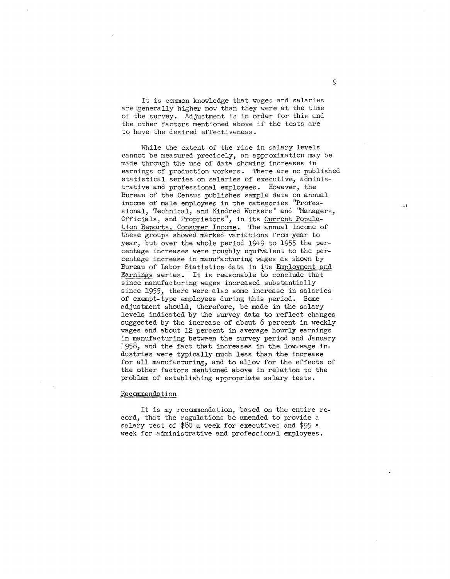It is common knowledge that wages and salaries are generally higher now than they were at the time of the survey. Adjustment is in order for this and the other factors mentioned above if the tests are to have the desired effectiveness.

While the extent of the rise in salary levels cannot be measured precisely, an approximation may be made through the use of data showing increases in earnings of production workers. There are no published statistical series on salaries of executive, administrative and professional employees. However, the Bureau of the Census publishes sample data on annual incane of male employees in the categories "Professional, Technical, and Kindred Workers" and "Managers, Officials, and Proprietors", in its Current Population Reports, Consumer Income. The annual incane of these groups showed marked variations fran year to year, but over the whole period 1949 to 1955 the percentage increases were roughly equivalent to the percentage increase in manufacturing wages as shown by Bureau of Labor Statistics data in its Employment and Earnings series. It is reasonable to conclude that since manufacturing wages increased substantially since 1955, there were also some increase in salaries of exempt- type employees during this period. Some adjustment should, therefore, be made in the salary levels indicated by the survey data to reflect changes suggested by the increase of about 6 percent in weekly wages and about 12 percent in average hourly earnings in manufacturing between the survey period and January 1958, and the fact that increases in the low-wage industries were typically much less than the increase for all manufacturing, and to allow for the effects of the other factors mentioned above in relation to the problem of establishing appropriate salary tests.

#### **Recommendation**

It is my recanmendation, based on the entire record, that the regulations be amended to provide a salary test of \$80 a week for executives and \$95 a week for administrative and professional employees.

9

---1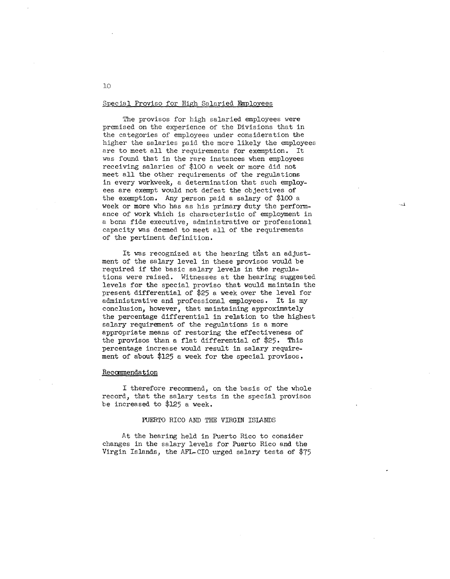#### Special Proviso for High Salaried Employees

The provisos for high salaried employees were premised on the experience of the Divisions that in the categories of employees under consideration the higher the salaries paid the more likely the employees are to meet all the requirements for exemption. It was found that in the rare instances when employees receiving salaries of \$100 a week or more did not meet all the other requirements of the regulations in every workweek, a determination that such employees are exempt would not defeat the objectives of the exemption. Any person paid a salary of \$100 a week or more who has as his primary duty the performance of work which is characteristic of employment in a bona fide executive, administrative or professional capacity was deemed to meet all of the requirements of the pertinent definition.

It was recognized at the hearing that an adjustment of the salary level in these provisos would be required if the basic salary levels in the regulations were raised. Witnesses at the hearing suggested levels for the special proviso that would maintain the present differential of \$25 a week over the level for administrative and professional employees. It is my conclusion, however, that maintaining approximately the percentage differential in relation to the highest salary requirement of the regulations is a more appropriate means of restoring the effectiveness of the provisos than a flat differential of \$25. This percentage increase would result in salary requirement of about \$125 a week for the special provisos.

## Recommendation

I therefore recommend, on the basis of the whole record, that the salary tests in the special provisos be increased to \$125 a week.

#### PUERTO RICO AND THE VIRGIN ISIANDS

At the hearing held in Puerto Rico to consider changes in the salary levels for Puerto Rico and the Virgin Islands, the AFL-CIO urged salary tests of \$75

10

 $-1$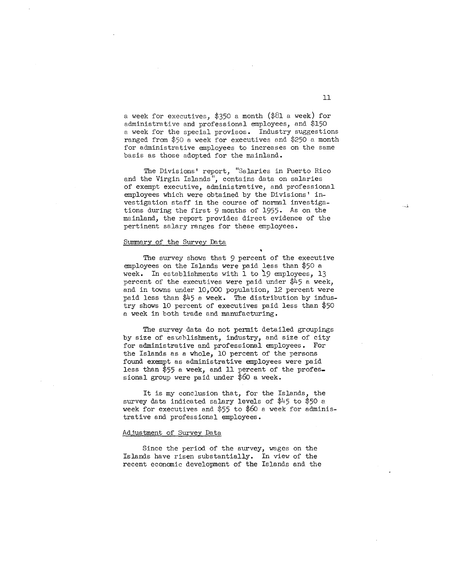a week for executives,  $$350$  a month  $($81$  a week) for administrative and professional employees, and \$150 a week for the special provisos. Industry suggestions ranged from \$50 a week for executives and \$250 a month for administrative employees to increases on the same basis as those adopted for the mainland.

The Divisions' report, "Salaries in Puerto Rico and the Virgin Islands", contains data on salaries of exempt executive, administrative, and professional employees which were obtained by the Divisions' investigation staff in the course of normal investigations during the first 9 months of 1955. As on the mainland, the report provides direct evidence of the pertinent salary ranges for these employees.

#### Summary of the Survey Data

The survey shows that 9 percent of the executive employees on the Islands were paid less than \$50 a week. In establishments with 1 to 19 employees, 13 percent of the executives were paid under \$45 a week, and in towns under 10,000 population, 12 percent were paid less than \$45 a week. The distribution by industry shows 10 percent of executives paid less than \$50 a week in both trade and manufacturing.

The survey data do not permit detailed groupings by size of establishment, industry, and size of city for administrative and professional employees. For the Islands as a whole, 10 percent of the persons found exempt as administrative employees were paid less than \$55 a week, and 11 percent of the profes\_ sional group were paid under \$60 a week.

It is my conclusion that, for the Islands, the survey data indicated salary levels of \$45 to \$50 a week for executives and \$55 to \$60 a week for administrative and professional employees.

#### Ad,justment of Survey Data

Since the period of the survey, wages on the Islands have risen substantially. In view of the recent economic development of the Islands and the  $-1$